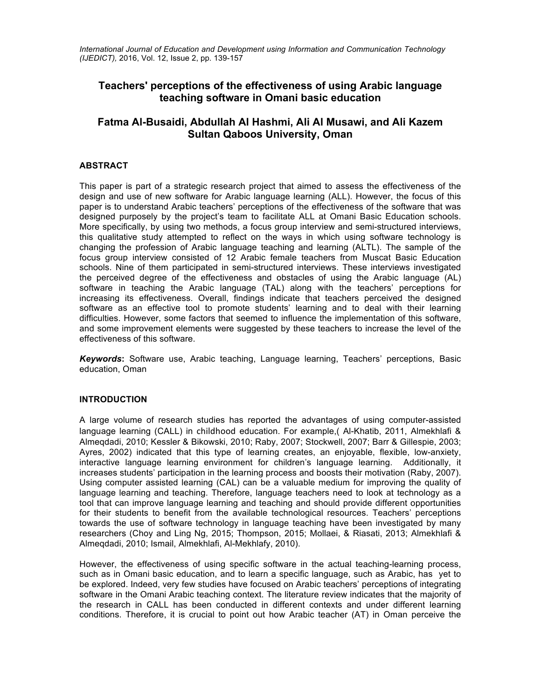*International Journal of Education and Development using Information and Communication Technology (IJEDICT),* 2016, Vol. 12, Issue 2, pp. 139-157

# **Teachers' perceptions of the effectiveness of using Arabic language teaching software in Omani basic education**

# **Fatma Al-Busaidi, Abdullah Al Hashmi, Ali Al Musawi, and Ali Kazem Sultan Qaboos University, Oman**

# **ABSTRACT**

This paper is part of a strategic research project that aimed to assess the effectiveness of the design and use of new software for Arabic language learning (ALL). However, the focus of this paper is to understand Arabic teachers' perceptions of the effectiveness of the software that was designed purposely by the project's team to facilitate ALL at Omani Basic Education schools. More specifically, by using two methods, a focus group interview and semi-structured interviews, this qualitative study attempted to reflect on the ways in which using software technology is changing the profession of Arabic language teaching and learning (ALTL). The sample of the focus group interview consisted of 12 Arabic female teachers from Muscat Basic Education schools. Nine of them participated in semi-structured interviews. These interviews investigated the perceived degree of the effectiveness and obstacles of using the Arabic language (AL) software in teaching the Arabic language (TAL) along with the teachers' perceptions for increasing its effectiveness. Overall, findings indicate that teachers perceived the designed software as an effective tool to promote students' learning and to deal with their learning difficulties. However, some factors that seemed to influence the implementation of this software, and some improvement elements were suggested by these teachers to increase the level of the effectiveness of this software.

*Keywords***:** Software use, Arabic teaching, Language learning, Teachers' perceptions, Basic education, Oman

# **INTRODUCTION**

A large volume of research studies has reported the advantages of using computer-assisted language learning (CALL) in childhood education. For example,( Al-Khatib, 2011, Almekhlafi & Almeqdadi, 2010; Kessler & Bikowski, 2010; Raby, 2007; Stockwell, 2007; Barr & Gillespie, 2003; Ayres, 2002) indicated that this type of learning creates, an enjoyable, flexible, low-anxiety, interactive language learning environment for children's language learning. Additionally, it increases students' participation in the learning process and boosts their motivation (Raby, 2007). Using computer assisted learning (CAL) can be a valuable medium for improving the quality of language learning and teaching. Therefore, language teachers need to look at technology as a tool that can improve language learning and teaching and should provide different opportunities for their students to benefit from the available technological resources. Teachers' perceptions towards the use of software technology in language teaching have been investigated by many researchers (Choy and Ling Ng, 2015; Thompson, 2015; Mollaei, & Riasati, 2013; Almekhlafi & Almeqdadi, 2010; Ismail, Almekhlafi, Al-Mekhlafy, 2010).

However, the effectiveness of using specific software in the actual teaching-learning process, such as in Omani basic education, and to learn a specific language, such as Arabic, has yet to be explored. Indeed, very few studies have focused on Arabic teachers' perceptions of integrating software in the Omani Arabic teaching context. The literature review indicates that the majority of the research in CALL has been conducted in different contexts and under different learning conditions. Therefore, it is crucial to point out how Arabic teacher (AT) in Oman perceive the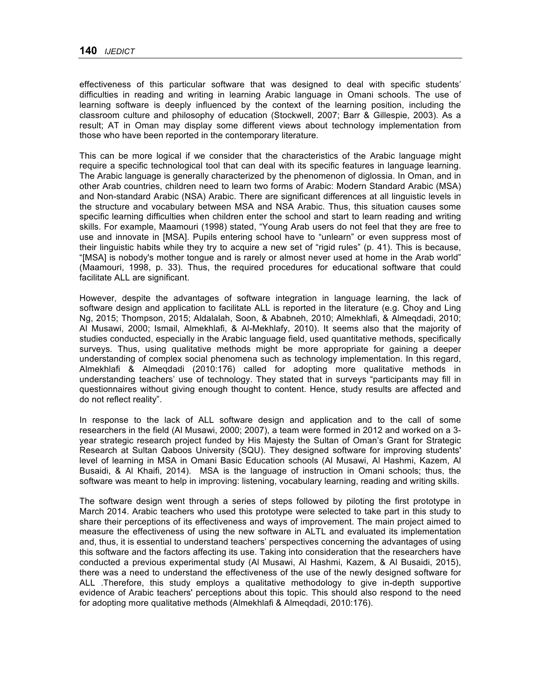effectiveness of this particular software that was designed to deal with specific students' difficulties in reading and writing in learning Arabic language in Omani schools. The use of learning software is deeply influenced by the context of the learning position, including the classroom culture and philosophy of education (Stockwell, 2007; Barr & Gillespie, 2003). As a result; AT in Oman may display some different views about technology implementation from those who have been reported in the contemporary literature.

This can be more logical if we consider that the characteristics of the Arabic language might require a specific technological tool that can deal with its specific features in language learning. The Arabic language is generally characterized by the phenomenon of diglossia. In Oman, and in other Arab countries, children need to learn two forms of Arabic: Modern Standard Arabic (MSA) and Non-standard Arabic (NSA) Arabic. There are significant differences at all linguistic levels in the structure and vocabulary between MSA and NSA Arabic. Thus, this situation causes some specific learning difficulties when children enter the school and start to learn reading and writing skills. For example, Maamouri (1998) stated, "Young Arab users do not feel that they are free to use and innovate in [MSA]. Pupils entering school have to "unlearn" or even suppress most of their linguistic habits while they try to acquire a new set of "rigid rules" (p. 41). This is because, "[MSA] is nobody's mother tongue and is rarely or almost never used at home in the Arab world" (Maamouri, 1998, p. 33). Thus, the required procedures for educational software that could facilitate ALL are significant.

However, despite the advantages of software integration in language learning, the lack of software design and application to facilitate ALL is reported in the literature (e.g. Choy and Ling Ng, 2015; Thompson, 2015; Aldalalah, Soon, & Ababneh, 2010; Almekhlafi, & Almeqdadi, 2010; Al Musawi, 2000; Ismail, Almekhlafi, & Al-Mekhlafy, 2010). It seems also that the majority of studies conducted, especially in the Arabic language field, used quantitative methods, specifically surveys. Thus, using qualitative methods might be more appropriate for gaining a deeper understanding of complex social phenomena such as technology implementation. In this regard, Almekhlafi & Almeqdadi (2010:176) called for adopting more qualitative methods in understanding teachers' use of technology. They stated that in surveys "participants may fill in questionnaires without giving enough thought to content. Hence, study results are affected and do not reflect reality".

In response to the lack of ALL software design and application and to the call of some researchers in the field (Al Musawi, 2000; 2007), a team were formed in 2012 and worked on a 3 year strategic research project funded by His Majesty the Sultan of Oman's Grant for Strategic Research at Sultan Qaboos University (SQU). They designed software for improving students' level of learning in MSA in Omani Basic Education schools (Al Musawi, Al Hashmi, Kazem, Al Busaidi, & Al Khaifi, 2014). MSA is the language of instruction in Omani schools; thus, the software was meant to help in improving: listening, vocabulary learning, reading and writing skills.

The software design went through a series of steps followed by piloting the first prototype in March 2014. Arabic teachers who used this prototype were selected to take part in this study to share their perceptions of its effectiveness and ways of improvement. The main project aimed to measure the effectiveness of using the new software in ALTL and evaluated its implementation and, thus, it is essential to understand teachers' perspectives concerning the advantages of using this software and the factors affecting its use. Taking into consideration that the researchers have conducted a previous experimental study (Al Musawi, Al Hashmi, Kazem, & Al Busaidi, 2015), there was a need to understand the effectiveness of the use of the newly designed software for ALL .Therefore, this study employs a qualitative methodology to give in-depth supportive evidence of Arabic teachers' perceptions about this topic. This should also respond to the need for adopting more qualitative methods (Almekhlafi & Almeqdadi, 2010:176).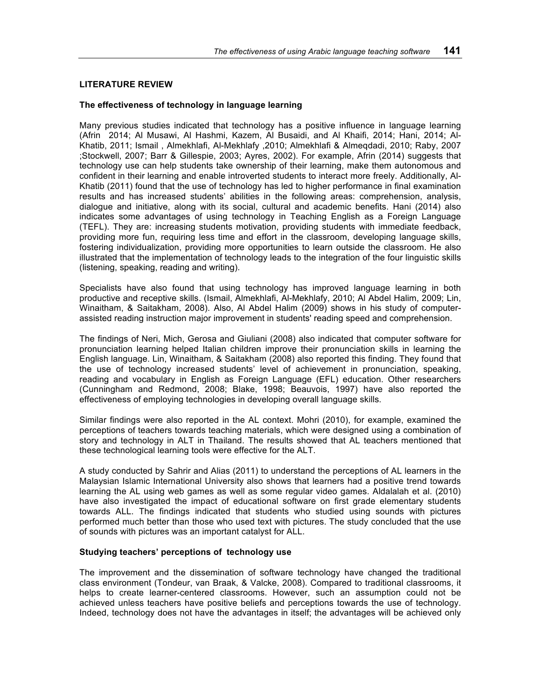# **LITERATURE REVIEW**

## **The effectiveness of technology in language learning**

Many previous studies indicated that technology has a positive influence in language learning (Afrin 2014; Al Musawi, Al Hashmi, Kazem, Al Busaidi, and Al Khaifi, 2014; Hani, 2014; Al-Khatib, 2011; Ismail , Almekhlafi, Al-Mekhlafy ,2010; Almekhlafi & Almeqdadi, 2010; Raby, 2007 ;Stockwell, 2007; Barr & Gillespie, 2003; Ayres, 2002). For example, Afrin (2014) suggests that technology use can help students take ownership of their learning, make them autonomous and confident in their learning and enable introverted students to interact more freely. Additionally, Al-Khatib (2011) found that the use of technology has led to higher performance in final examination results and has increased students' abilities in the following areas: comprehension, analysis, dialogue and initiative, along with its social, cultural and academic benefits. Hani (2014) also indicates some advantages of using technology in Teaching English as a Foreign Language (TEFL). They are: increasing students motivation, providing students with immediate feedback, providing more fun, requiring less time and effort in the classroom, developing language skills, fostering individualization, providing more opportunities to learn outside the classroom. He also illustrated that the implementation of technology leads to the integration of the four linguistic skills (listening, speaking, reading and writing).

Specialists have also found that using technology has improved language learning in both productive and receptive skills. (Ismail, Almekhlafi, Al-Mekhlafy, 2010; Al Abdel Halim, 2009; Lin, Winaitham, & Saitakham, 2008). Also, Al Abdel Halim (2009) shows in his study of computerassisted reading instruction major improvement in students' reading speed and comprehension.

The findings of Neri, Mich, Gerosa and Giuliani (2008) also indicated that computer software for pronunciation learning helped Italian children improve their pronunciation skills in learning the English language. Lin, Winaitham, & Saitakham (2008) also reported this finding. They found that the use of technology increased students' level of achievement in pronunciation, speaking, reading and vocabulary in English as Foreign Language (EFL) education. Other researchers (Cunningham and Redmond, 2008; Blake, 1998; Beauvois, 1997) have also reported the effectiveness of employing technologies in developing overall language skills.

Similar findings were also reported in the AL context. Mohri (2010), for example, examined the perceptions of teachers towards teaching materials, which were designed using a combination of story and technology in ALT in Thailand. The results showed that AL teachers mentioned that these technological learning tools were effective for the ALT.

A study conducted by Sahrir and Alias (2011) to understand the perceptions of AL learners in the Malaysian Islamic International University also shows that learners had a positive trend towards learning the AL using web games as well as some regular video games. Aldalalah et al. (2010) have also investigated the impact of educational software on first grade elementary students towards ALL. The findings indicated that students who studied using sounds with pictures performed much better than those who used text with pictures. The study concluded that the use of sounds with pictures was an important catalyst for ALL.

## **Studying teachers' perceptions of technology use**

The improvement and the dissemination of software technology have changed the traditional class environment (Tondeur, van Braak, & Valcke, 2008). Compared to traditional classrooms, it helps to create learner-centered classrooms. However, such an assumption could not be achieved unless teachers have positive beliefs and perceptions towards the use of technology. Indeed, technology does not have the advantages in itself; the advantages will be achieved only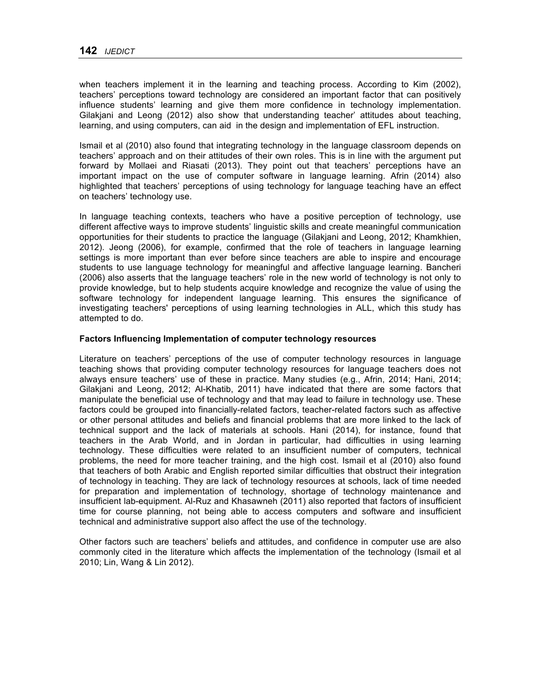when teachers implement it in the learning and teaching process. According to Kim (2002), teachers' perceptions toward technology are considered an important factor that can positively influence students' learning and give them more confidence in technology implementation. Gilakjani and Leong (2012) also show that understanding teacher' attitudes about teaching, learning, and using computers, can aid in the design and implementation of EFL instruction.

Ismail et al (2010) also found that integrating technology in the language classroom depends on teachers' approach and on their attitudes of their own roles. This is in line with the argument put forward by Mollaei and Riasati (2013). They point out that teachers' perceptions have an important impact on the use of computer software in language learning. Afrin (2014) also highlighted that teachers' perceptions of using technology for language teaching have an effect on teachers' technology use.

In language teaching contexts, teachers who have a positive perception of technology, use different affective ways to improve students' linguistic skills and create meaningful communication opportunities for their students to practice the language (Gilakjani and Leong, 2012; Khamkhien, 2012). Jeong (2006), for example, confirmed that the role of teachers in language learning settings is more important than ever before since teachers are able to inspire and encourage students to use language technology for meaningful and affective language learning. Bancheri (2006) also asserts that the language teachers' role in the new world of technology is not only to provide knowledge, but to help students acquire knowledge and recognize the value of using the software technology for independent language learning. This ensures the significance of investigating teachers' perceptions of using learning technologies in ALL, which this study has attempted to do.

## **Factors Influencing Implementation of computer technology resources**

Literature on teachers' perceptions of the use of computer technology resources in language teaching shows that providing computer technology resources for language teachers does not always ensure teachers' use of these in practice. Many studies (e.g., Afrin, 2014; Hani, 2014; Gilakjani and Leong, 2012; Al-Khatib, 2011) have indicated that there are some factors that manipulate the beneficial use of technology and that may lead to failure in technology use. These factors could be grouped into financially-related factors, teacher-related factors such as affective or other personal attitudes and beliefs and financial problems that are more linked to the lack of technical support and the lack of materials at schools. Hani (2014), for instance, found that teachers in the Arab World, and in Jordan in particular, had difficulties in using learning technology. These difficulties were related to an insufficient number of computers, technical problems, the need for more teacher training, and the high cost. Ismail et al (2010) also found that teachers of both Arabic and English reported similar difficulties that obstruct their integration of technology in teaching. They are lack of technology resources at schools, lack of time needed for preparation and implementation of technology, shortage of technology maintenance and insufficient lab-equipment. Al-Ruz and Khasawneh (2011) also reported that factors of insufficient time for course planning, not being able to access computers and software and insufficient technical and administrative support also affect the use of the technology.

Other factors such are teachers' beliefs and attitudes, and confidence in computer use are also commonly cited in the literature which affects the implementation of the technology (Ismail et al 2010; Lin, Wang & Lin 2012).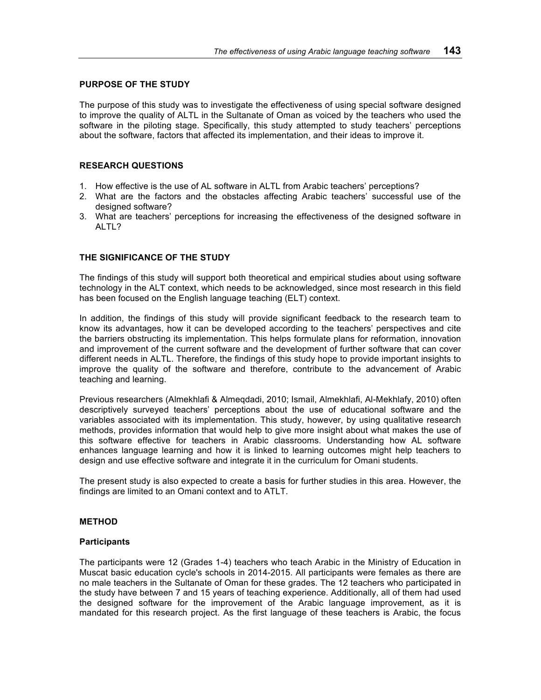## **PURPOSE OF THE STUDY**

The purpose of this study was to investigate the effectiveness of using special software designed to improve the quality of ALTL in the Sultanate of Oman as voiced by the teachers who used the software in the piloting stage. Specifically, this study attempted to study teachers' perceptions about the software, factors that affected its implementation, and their ideas to improve it.

## **RESEARCH QUESTIONS**

- 1. How effective is the use of AL software in ALTL from Arabic teachers' perceptions?
- 2. What are the factors and the obstacles affecting Arabic teachers' successful use of the designed software?
- 3. What are teachers' perceptions for increasing the effectiveness of the designed software in ALTL?

# **THE SIGNIFICANCE OF THE STUDY**

The findings of this study will support both theoretical and empirical studies about using software technology in the ALT context, which needs to be acknowledged, since most research in this field has been focused on the English language teaching (ELT) context.

In addition, the findings of this study will provide significant feedback to the research team to know its advantages, how it can be developed according to the teachers' perspectives and cite the barriers obstructing its implementation. This helps formulate plans for reformation, innovation and improvement of the current software and the development of further software that can cover different needs in ALTL. Therefore, the findings of this study hope to provide important insights to improve the quality of the software and therefore, contribute to the advancement of Arabic teaching and learning.

Previous researchers (Almekhlafi & Almeqdadi, 2010; Ismail, Almekhlafi, Al-Mekhlafy, 2010) often descriptively surveyed teachers' perceptions about the use of educational software and the variables associated with its implementation. This study, however, by using qualitative research methods, provides information that would help to give more insight about what makes the use of this software effective for teachers in Arabic classrooms. Understanding how AL software enhances language learning and how it is linked to learning outcomes might help teachers to design and use effective software and integrate it in the curriculum for Omani students.

The present study is also expected to create a basis for further studies in this area. However, the findings are limited to an Omani context and to ATLT.

#### **METHOD**

#### **Participants**

The participants were 12 (Grades 1-4) teachers who teach Arabic in the Ministry of Education in Muscat basic education cycle's schools in 2014-2015. All participants were females as there are no male teachers in the Sultanate of Oman for these grades. The 12 teachers who participated in the study have between 7 and 15 years of teaching experience. Additionally, all of them had used the designed software for the improvement of the Arabic language improvement, as it is mandated for this research project. As the first language of these teachers is Arabic, the focus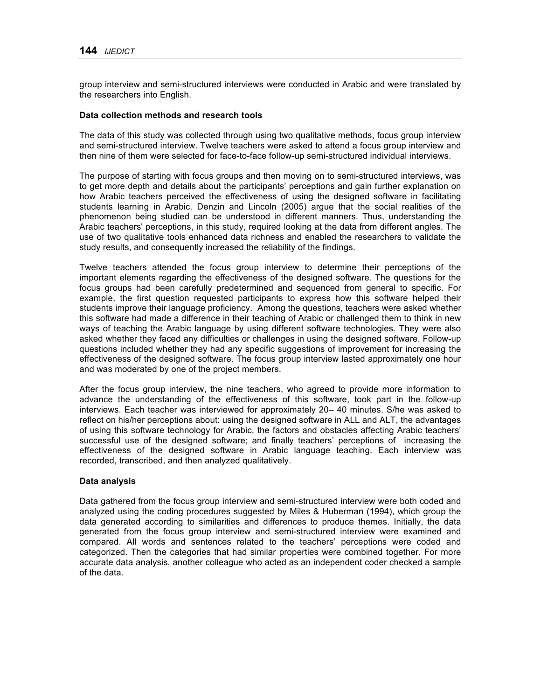group interview and semi-structured interviews were conducted in Arabic and were translated by the researchers into English.

## **Data collection methods and research tools**

The data of this study was collected through using two qualitative methods, focus group interview and semi-structured interview. Twelve teachers were asked to attend a focus group interview and then nine of them were selected for face-to-face follow-up semi-structured individual interviews.

The purpose of starting with focus groups and then moving on to semi-structured interviews, was to get more depth and details about the participants' perceptions and gain further explanation on how Arabic teachers perceived the effectiveness of using the designed software in facilitating students learning in Arabic. Denzin and Lincoln (2005) argue that the social realities of the phenomenon being studied can be understood in different manners. Thus, understanding the Arabic teachers' perceptions, in this study, required looking at the data from different angles. The use of two qualitative tools enhanced data richness and enabled the researchers to validate the study results, and consequently increased the reliability of the findings.

Twelve teachers attended the focus group interview to determine their perceptions of the important elements regarding the effectiveness of the designed software. The questions for the focus groups had been carefully predetermined and sequenced from general to specific. For example, the first question requested participants to express how this software helped their students improve their language proficiency. Among the questions, teachers were asked whether this software had made a difference in their teaching of Arabic or challenged them to think in new ways of teaching the Arabic language by using different software technologies. They were also asked whether they faced any difficulties or challenges in using the designed software. Follow-up questions included whether they had any specific suggestions of improvement for increasing the effectiveness of the designed software. The focus group interview lasted approximately one hour and was moderated by one of the project members.

After the focus group interview, the nine teachers, who agreed to provide more information to advance the understanding of the effectiveness of this software, took part in the follow-up interviews. Each teacher was interviewed for approximately 20– 40 minutes. S/he was asked to reflect on his/her perceptions about: using the designed software in ALL and ALT, the advantages of using this software technology for Arabic, the factors and obstacles affecting Arabic teachers' successful use of the designed software; and finally teachers' perceptions of increasing the effectiveness of the designed software in Arabic language teaching. Each interview was recorded, transcribed, and then analyzed qualitatively.

# **Data analysis**

Data gathered from the focus group interview and semi-structured interview were both coded and analyzed using the coding procedures suggested by Miles & Huberman (1994), which group the data generated according to similarities and differences to produce themes. Initially, the data generated from the focus group interview and semi-structured interview were examined and compared. All words and sentences related to the teachers' perceptions were coded and categorized. Then the categories that had similar properties were combined together. For more accurate data analysis, another colleague who acted as an independent coder checked a sample of the data.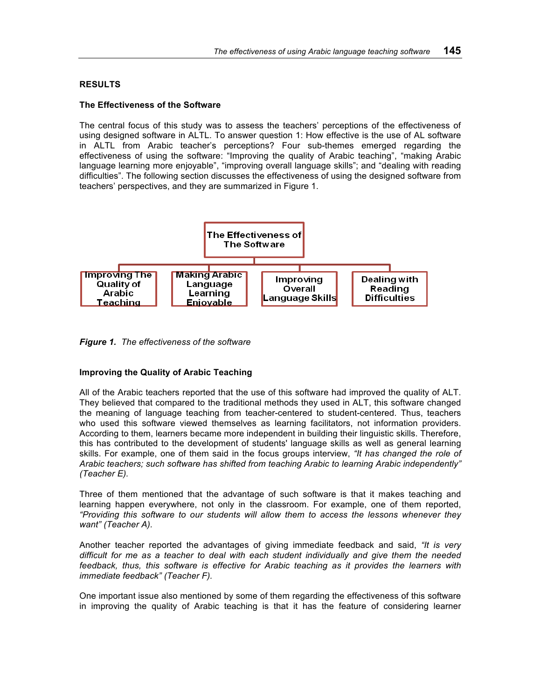# **RESULTS**

## **The Effectiveness of the Software**

The central focus of this study was to assess the teachers' perceptions of the effectiveness of using designed software in ALTL. To answer question 1: How effective is the use of AL software in ALTL from Arabic teacher's perceptions? Four sub-themes emerged regarding the effectiveness of using the software: "Improving the quality of Arabic teaching", "making Arabic language learning more enjoyable", "improving overall language skills"; and "dealing with reading difficulties". The following section discusses the effectiveness of using the designed software from teachers' perspectives, and they are summarized in Figure 1.



*Figure 1. The effectiveness of the software*

# **Improving the Quality of Arabic Teaching**

All of the Arabic teachers reported that the use of this software had improved the quality of ALT. They believed that compared to the traditional methods they used in ALT, this software changed the meaning of language teaching from teacher-centered to student-centered. Thus, teachers who used this software viewed themselves as learning facilitators, not information providers. According to them, learners became more independent in building their linguistic skills. Therefore, this has contributed to the development of students' language skills as well as general learning skills. For example, one of them said in the focus groups interview, *"It has changed the role of Arabic teachers; such software has shifted from teaching Arabic to learning Arabic independently" (Teacher E).* 

Three of them mentioned that the advantage of such software is that it makes teaching and learning happen everywhere, not only in the classroom. For example, one of them reported, *"Providing this software to our students will allow them to access the lessons whenever they want" (Teacher A).*

Another teacher reported the advantages of giving immediate feedback and said, *"It is very difficult for me as a teacher to deal with each student individually and give them the needed feedback, thus, this software is effective for Arabic teaching as it provides the learners with immediate feedback" (Teacher F).*

One important issue also mentioned by some of them regarding the effectiveness of this software in improving the quality of Arabic teaching is that it has the feature of considering learner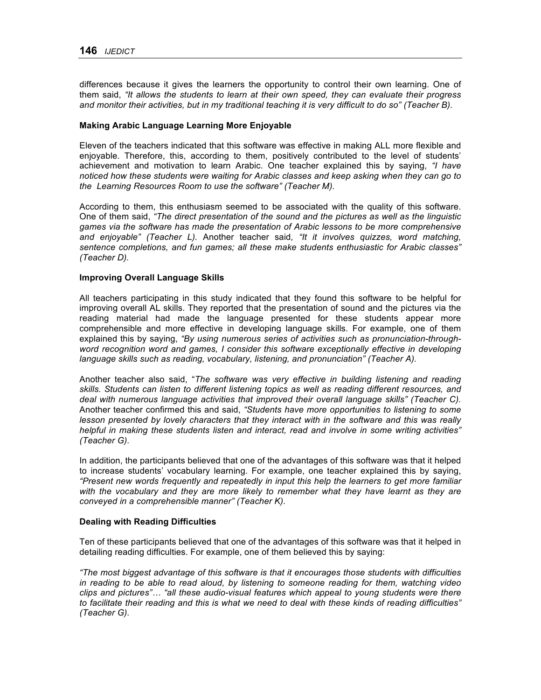differences because it gives the learners the opportunity to control their own learning. One of them said, *"It allows the students to learn at their own speed, they can evaluate their progress and monitor their activities, but in my traditional teaching it is very difficult to do so" (Teacher B).*

#### **Making Arabic Language Learning More Enjoyable**

Eleven of the teachers indicated that this software was effective in making ALL more flexible and enjoyable. Therefore, this, according to them, positively contributed to the level of students' achievement and motivation to learn Arabic. One teacher explained this by saying, *"I have noticed how these students were waiting for Arabic classes and keep asking when they can go to the Learning Resources Room to use the software" (Teacher M).*

According to them, this enthusiasm seemed to be associated with the quality of this software. One of them said, *"The direct presentation of the sound and the pictures as well as the linguistic games via the software has made the presentation of Arabic lessons to be more comprehensive and enjoyable" (Teacher L).* Another teacher said*, "It it involves quizzes, word matching, sentence completions, and fun games; all these make students enthusiastic for Arabic classes" (Teacher D).*

## **Improving Overall Language Skills**

All teachers participating in this study indicated that they found this software to be helpful for improving overall AL skills. They reported that the presentation of sound and the pictures via the reading material had made the language presented for these students appear more comprehensible and more effective in developing language skills. For example, one of them explained this by saying, *"By using numerous series of activities such as pronunciation-throughword recognition word and games, I consider this software exceptionally effective in developing language skills such as reading, vocabulary, listening, and pronunciation" (Teacher A).*

Another teacher also said, "*The software was very effective in building listening and reading skills. Students can listen to different listening topics as well as reading different resources, and deal with numerous language activities that improved their overall language skills" (Teacher C).* Another teacher confirmed this and said, *"Students have more opportunities to listening to some lesson presented by lovely characters that they interact with in the software and this was really helpful in making these students listen and interact, read and involve in some writing activities" (Teacher G).*

In addition, the participants believed that one of the advantages of this software was that it helped to increase students' vocabulary learning. For example, one teacher explained this by saying, *"Present new words frequently and repeatedly in input this help the learners to get more familiar with the vocabulary and they are more likely to remember what they have learnt as they are conveyed in a comprehensible manner" (Teacher K).*

#### **Dealing with Reading Difficulties**

Ten of these participants believed that one of the advantages of this software was that it helped in detailing reading difficulties. For example, one of them believed this by saying:

*"The most biggest advantage of this software is that it encourages those students with difficulties in reading to be able to read aloud, by listening to someone reading for them, watching video clips and pictures"… "all these audio-visual features which appeal to young students were there to facilitate their reading and this is what we need to deal with these kinds of reading difficulties" (Teacher G).*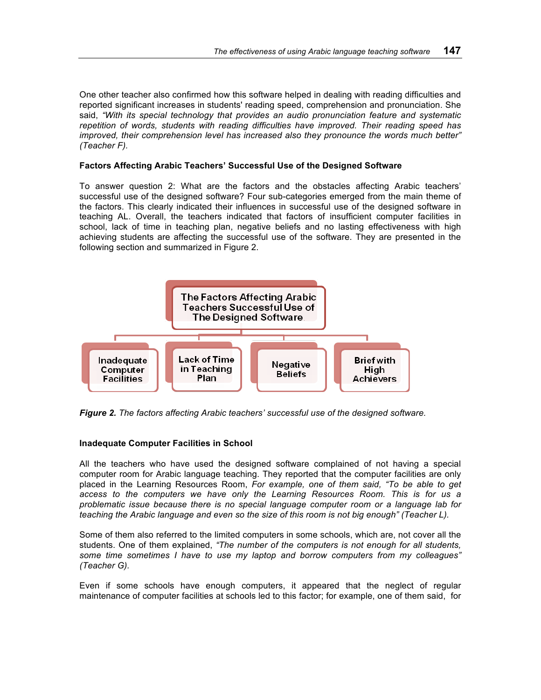One other teacher also confirmed how this software helped in dealing with reading difficulties and reported significant increases in students' reading speed, comprehension and pronunciation. She said, *"With its special technology that provides an audio pronunciation feature and systematic repetition of words, students with reading difficulties have improved. Their reading speed has improved, their comprehension level has increased also they pronounce the words much better" (Teacher F).*

# **Factors Affecting Arabic Teachers' Successful Use of the Designed Software**

To answer question 2: What are the factors and the obstacles affecting Arabic teachers' successful use of the designed software? Four sub-categories emerged from the main theme of the factors. This clearly indicated their influences in successful use of the designed software in teaching AL. Overall, the teachers indicated that factors of insufficient computer facilities in school, lack of time in teaching plan, negative beliefs and no lasting effectiveness with high achieving students are affecting the successful use of the software. They are presented in the following section and summarized in Figure 2.



*Figure 2. The factors affecting Arabic teachers' successful use of the designed software.*

# **Inadequate Computer Facilities in School**

All the teachers who have used the designed software complained of not having a special computer room for Arabic language teaching. They reported that the computer facilities are only placed in the Learning Resources Room, *For example, one of them said, "To be able to get access to the computers we have only the Learning Resources Room. This is for us a problematic issue because there is no special language computer room or a language lab for teaching the Arabic language and even so the size of this room is not big enough" (Teacher L).*

Some of them also referred to the limited computers in some schools, which are, not cover all the students. One of them explained, *"The number of the computers is not enough for all students, some time sometimes I have to use my laptop and borrow computers from my colleagues" (Teacher G).*

Even if some schools have enough computers, it appeared that the neglect of regular maintenance of computer facilities at schools led to this factor; for example, one of them said, for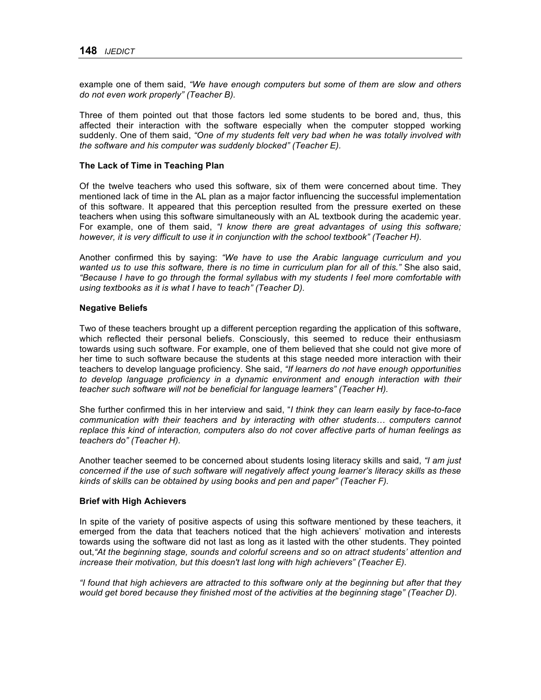example one of them said, *"We have enough computers but some of them are slow and others do not even work properly" (Teacher B).*

Three of them pointed out that those factors led some students to be bored and, thus, this affected their interaction with the software especially when the computer stopped working suddenly. One of them said, *"One of my students felt very bad when he was totally involved with the software and his computer was suddenly blocked" (Teacher E).*

#### **The Lack of Time in Teaching Plan**

Of the twelve teachers who used this software, six of them were concerned about time. They mentioned lack of time in the AL plan as a major factor influencing the successful implementation of this software. It appeared that this perception resulted from the pressure exerted on these teachers when using this software simultaneously with an AL textbook during the academic year. For example, one of them said, *"I know there are great advantages of using this software; however, it is very difficult to use it in conjunction with the school textbook" (Teacher H).*

Another confirmed this by saying: *"We have to use the Arabic language curriculum and you wanted us to use this software, there is no time in curriculum plan for all of this."* She also said, *"Because I have to go through the formal syllabus with my students I feel more comfortable with using textbooks as it is what I have to teach" (Teacher D).*

#### **Negative Beliefs**

Two of these teachers brought up a different perception regarding the application of this software, which reflected their personal beliefs. Consciously, this seemed to reduce their enthusiasm towards using such software. For example, one of them believed that she could not give more of her time to such software because the students at this stage needed more interaction with their teachers to develop language proficiency. She said, *"If learners do not have enough opportunities to develop language proficiency in a dynamic environment and enough interaction with their teacher such software will not be beneficial for language learners" (Teacher H).*

She further confirmed this in her interview and said, "*I think they can learn easily by face-to-face communication with their teachers and by interacting with other students… computers cannot replace this kind of interaction, computers also do not cover affective parts of human feelings as teachers do" (Teacher H).*

Another teacher seemed to be concerned about students losing literacy skills and said, *"I am just concerned if the use of such software will negatively affect young learner's literacy skills as these kinds of skills can be obtained by using books and pen and paper" (Teacher F).*

#### **Brief with High Achievers**

In spite of the variety of positive aspects of using this software mentioned by these teachers, it emerged from the data that teachers noticed that the high achievers' motivation and interests towards using the software did not last as long as it lasted with the other students. They pointed out,*"At the beginning stage, sounds and colorful screens and so on attract students' attention and increase their motivation, but this doesn't last long with high achievers" (Teacher E).*

*"I found that high achievers are attracted to this software only at the beginning but after that they would get bored because they finished most of the activities at the beginning stage" (Teacher D).*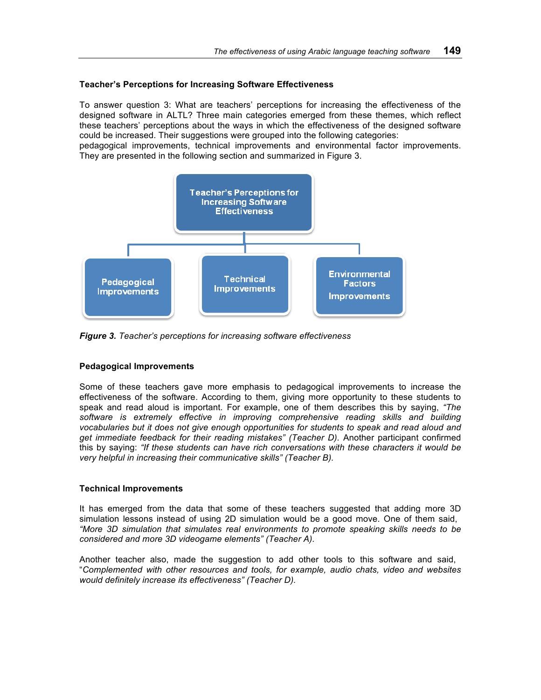## **Teacher's Perceptions for Increasing Software Effectiveness**

To answer question 3: What are teachers' perceptions for increasing the effectiveness of the designed software in ALTL? Three main categories emerged from these themes, which reflect these teachers' perceptions about the ways in which the effectiveness of the designed software could be increased. Their suggestions were grouped into the following categories:

pedagogical improvements, technical improvements and environmental factor improvements. They are presented in the following section and summarized in Figure 3.



*Figure 3. Teacher's perceptions for increasing software effectiveness*

# **Pedagogical Improvements**

Some of these teachers gave more emphasis to pedagogical improvements to increase the effectiveness of the software. According to them, giving more opportunity to these students to speak and read aloud is important. For example, one of them describes this by saying, *"The software is extremely effective in improving comprehensive reading skills and building vocabularies but it does not give enough opportunities for students to speak and read aloud and get immediate feedback for their reading mistakes" (Teacher D).* Another participant confirmed this by saying: *"If these students can have rich conversations with these characters it would be very helpful in increasing their communicative skills" (Teacher B).*

#### **Technical Improvements**

It has emerged from the data that some of these teachers suggested that adding more 3D simulation lessons instead of using 2D simulation would be a good move. One of them said, *"More 3D simulation that simulates real environments to promote speaking skills needs to be considered and more 3D videogame elements" (Teacher A).*

Another teacher also, made the suggestion to add other tools to this software and said, "*Complemented with other resources and tools, for example, audio chats, video and websites would definitely increase its effectiveness" (Teacher D).*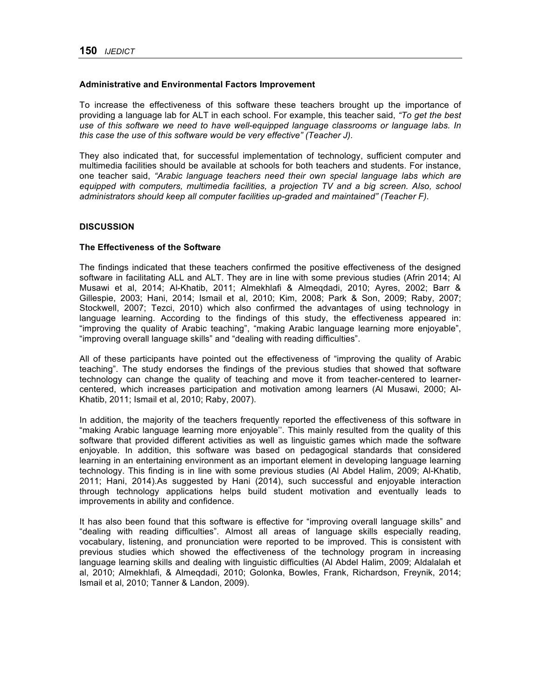#### **Administrative and Environmental Factors Improvement**

To increase the effectiveness of this software these teachers brought up the importance of providing a language lab for ALT in each school. For example, this teacher said, *"To get the best use of this software we need to have well-equipped language classrooms or language labs. In this case the use of this software would be very effective" (Teacher J).*

They also indicated that, for successful implementation of technology, sufficient computer and multimedia facilities should be available at schools for both teachers and students. For instance, one teacher said, *"Arabic language teachers need their own special language labs which are*  equipped with computers, multimedia facilities, a projection TV and a big screen. Also, school *administrators should keep all computer facilities up-graded and maintained" (Teacher F).*

## **DISCUSSION**

## **The Effectiveness of the Software**

The findings indicated that these teachers confirmed the positive effectiveness of the designed software in facilitating ALL and ALT. They are in line with some previous studies (Afrin 2014; Al Musawi et al, 2014; Al-Khatib, 2011; Almekhlafi & Almeqdadi, 2010; Ayres, 2002; Barr & Gillespie, 2003; Hani, 2014; Ismail et al, 2010; Kim, 2008; Park & Son, 2009; Raby, 2007; Stockwell, 2007; Tezci, 2010) which also confirmed the advantages of using technology in language learning. According to the findings of this study, the effectiveness appeared in: "improving the quality of Arabic teaching", "making Arabic language learning more enjoyable", "improving overall language skills" and "dealing with reading difficulties".

All of these participants have pointed out the effectiveness of "improving the quality of Arabic teaching". The study endorses the findings of the previous studies that showed that software technology can change the quality of teaching and move it from teacher-centered to learnercentered, which increases participation and motivation among learners (Al Musawi, 2000; Al-Khatib, 2011; Ismail et al, 2010; Raby, 2007).

In addition, the majority of the teachers frequently reported the effectiveness of this software in "making Arabic language learning more enjoyable''. This mainly resulted from the quality of this software that provided different activities as well as linguistic games which made the software enjoyable. In addition, this software was based on pedagogical standards that considered learning in an entertaining environment as an important element in developing language learning technology. This finding is in line with some previous studies (Al Abdel Halim, 2009; Al-Khatib, 2011; Hani, 2014).As suggested by Hani (2014), such successful and enjoyable interaction through technology applications helps build student motivation and eventually leads to improvements in ability and confidence.

It has also been found that this software is effective for "improving overall language skills" and "dealing with reading difficulties". Almost all areas of language skills especially reading, vocabulary, listening, and pronunciation were reported to be improved. This is consistent with previous studies which showed the effectiveness of the technology program in increasing language learning skills and dealing with linguistic difficulties (Al Abdel Halim, 2009; Aldalalah et al, 2010; Almekhlafi, & Almeqdadi, 2010; Golonka, Bowles, Frank, Richardson, Freynik, 2014; Ismail et al, 2010; Tanner & Landon, 2009).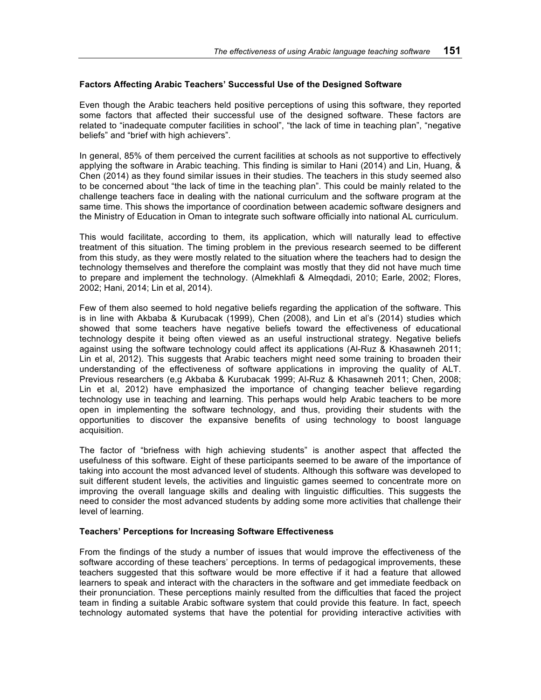# **Factors Affecting Arabic Teachers' Successful Use of the Designed Software**

Even though the Arabic teachers held positive perceptions of using this software, they reported some factors that affected their successful use of the designed software. These factors are related to "inadequate computer facilities in school", "the lack of time in teaching plan", "negative beliefs" and "brief with high achievers".

In general, 85% of them perceived the current facilities at schools as not supportive to effectively applying the software in Arabic teaching. This finding is similar to Hani (2014) and Lin, Huang, & Chen (2014) as they found similar issues in their studies. The teachers in this study seemed also to be concerned about "the lack of time in the teaching plan". This could be mainly related to the challenge teachers face in dealing with the national curriculum and the software program at the same time. This shows the importance of coordination between academic software designers and the Ministry of Education in Oman to integrate such software officially into national AL curriculum.

This would facilitate, according to them, its application, which will naturally lead to effective treatment of this situation. The timing problem in the previous research seemed to be different from this study, as they were mostly related to the situation where the teachers had to design the technology themselves and therefore the complaint was mostly that they did not have much time to prepare and implement the technology. (Almekhlafi & Almeqdadi, 2010; Earle, 2002; Flores, 2002; Hani, 2014; Lin et al, 2014).

Few of them also seemed to hold negative beliefs regarding the application of the software. This is in line with Akbaba & Kurubacak (1999), Chen (2008), and Lin et al's (2014) studies which showed that some teachers have negative beliefs toward the effectiveness of educational technology despite it being often viewed as an useful instructional strategy. Negative beliefs against using the software technology could affect its applications (Al-Ruz & Khasawneh 2011; Lin et al, 2012). This suggests that Arabic teachers might need some training to broaden their understanding of the effectiveness of software applications in improving the quality of ALT. Previous researchers (e,g Akbaba & Kurubacak 1999; Al-Ruz & Khasawneh 2011; Chen, 2008; Lin et al, 2012) have emphasized the importance of changing teacher believe regarding technology use in teaching and learning. This perhaps would help Arabic teachers to be more open in implementing the software technology, and thus, providing their students with the opportunities to discover the expansive benefits of using technology to boost language acquisition.

The factor of "briefness with high achieving students" is another aspect that affected the usefulness of this software. Eight of these participants seemed to be aware of the importance of taking into account the most advanced level of students. Although this software was developed to suit different student levels, the activities and linguistic games seemed to concentrate more on improving the overall language skills and dealing with linguistic difficulties. This suggests the need to consider the most advanced students by adding some more activities that challenge their level of learning.

#### **Teachers' Perceptions for Increasing Software Effectiveness**

From the findings of the study a number of issues that would improve the effectiveness of the software according of these teachers' perceptions. In terms of pedagogical improvements, these teachers suggested that this software would be more effective if it had a feature that allowed learners to speak and interact with the characters in the software and get immediate feedback on their pronunciation. These perceptions mainly resulted from the difficulties that faced the project team in finding a suitable Arabic software system that could provide this feature. In fact, speech technology automated systems that have the potential for providing interactive activities with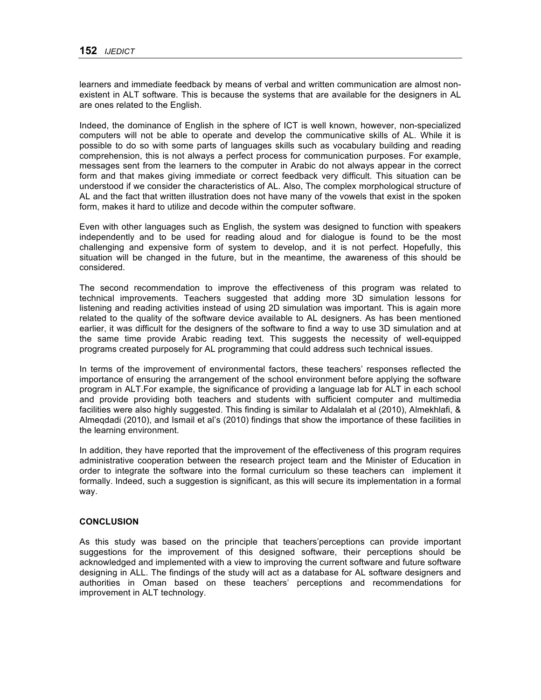learners and immediate feedback by means of verbal and written communication are almost nonexistent in ALT software. This is because the systems that are available for the designers in AL are ones related to the English.

Indeed, the dominance of English in the sphere of ICT is well known, however, non-specialized computers will not be able to operate and develop the communicative skills of AL. While it is possible to do so with some parts of languages skills such as vocabulary building and reading comprehension, this is not always a perfect process for communication purposes. For example, messages sent from the learners to the computer in Arabic do not always appear in the correct form and that makes giving immediate or correct feedback very difficult. This situation can be understood if we consider the characteristics of AL. Also, The complex morphological structure of AL and the fact that written illustration does not have many of the vowels that exist in the spoken form, makes it hard to utilize and decode within the computer software.

Even with other languages such as English, the system was designed to function with speakers independently and to be used for reading aloud and for dialogue is found to be the most challenging and expensive form of system to develop, and it is not perfect. Hopefully, this situation will be changed in the future, but in the meantime, the awareness of this should be considered.

The second recommendation to improve the effectiveness of this program was related to technical improvements. Teachers suggested that adding more 3D simulation lessons for listening and reading activities instead of using 2D simulation was important. This is again more related to the quality of the software device available to AL designers. As has been mentioned earlier, it was difficult for the designers of the software to find a way to use 3D simulation and at the same time provide Arabic reading text. This suggests the necessity of well-equipped programs created purposely for AL programming that could address such technical issues.

In terms of the improvement of environmental factors, these teachers' responses reflected the importance of ensuring the arrangement of the school environment before applying the software program in ALT.For example, the significance of providing a language lab for ALT in each school and provide providing both teachers and students with sufficient computer and multimedia facilities were also highly suggested. This finding is similar to Aldalalah et al (2010), Almekhlafi, & Almeqdadi (2010), and Ismail et al's (2010) findings that show the importance of these facilities in the learning environment.

In addition, they have reported that the improvement of the effectiveness of this program requires administrative cooperation between the research project team and the Minister of Education in order to integrate the software into the formal curriculum so these teachers can implement it formally. Indeed, such a suggestion is significant, as this will secure its implementation in a formal way.

# **CONCLUSION**

As this study was based on the principle that teachers'perceptions can provide important suggestions for the improvement of this designed software, their perceptions should be acknowledged and implemented with a view to improving the current software and future software designing in ALL. The findings of the study will act as a database for AL software designers and authorities in Oman based on these teachers' perceptions and recommendations for improvement in ALT technology.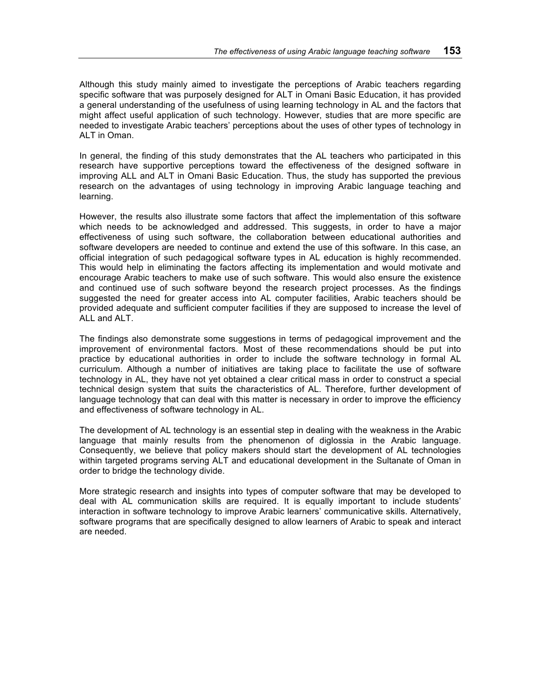Although this study mainly aimed to investigate the perceptions of Arabic teachers regarding specific software that was purposely designed for ALT in Omani Basic Education, it has provided a general understanding of the usefulness of using learning technology in AL and the factors that might affect useful application of such technology. However, studies that are more specific are needed to investigate Arabic teachers' perceptions about the uses of other types of technology in ALT in Oman.

In general, the finding of this study demonstrates that the AL teachers who participated in this research have supportive perceptions toward the effectiveness of the designed software in improving ALL and ALT in Omani Basic Education. Thus, the study has supported the previous research on the advantages of using technology in improving Arabic language teaching and learning.

However, the results also illustrate some factors that affect the implementation of this software which needs to be acknowledged and addressed. This suggests, in order to have a major effectiveness of using such software, the collaboration between educational authorities and software developers are needed to continue and extend the use of this software. In this case, an official integration of such pedagogical software types in AL education is highly recommended. This would help in eliminating the factors affecting its implementation and would motivate and encourage Arabic teachers to make use of such software. This would also ensure the existence and continued use of such software beyond the research project processes. As the findings suggested the need for greater access into AL computer facilities, Arabic teachers should be provided adequate and sufficient computer facilities if they are supposed to increase the level of ALL and ALT.

The findings also demonstrate some suggestions in terms of pedagogical improvement and the improvement of environmental factors. Most of these recommendations should be put into practice by educational authorities in order to include the software technology in formal AL curriculum. Although a number of initiatives are taking place to facilitate the use of software technology in AL, they have not yet obtained a clear critical mass in order to construct a special technical design system that suits the characteristics of AL. Therefore, further development of language technology that can deal with this matter is necessary in order to improve the efficiency and effectiveness of software technology in AL.

The development of AL technology is an essential step in dealing with the weakness in the Arabic language that mainly results from the phenomenon of diglossia in the Arabic language. Consequently, we believe that policy makers should start the development of AL technologies within targeted programs serving ALT and educational development in the Sultanate of Oman in order to bridge the technology divide.

More strategic research and insights into types of computer software that may be developed to deal with AL communication skills are required. It is equally important to include students' interaction in software technology to improve Arabic learners' communicative skills. Alternatively, software programs that are specifically designed to allow learners of Arabic to speak and interact are needed.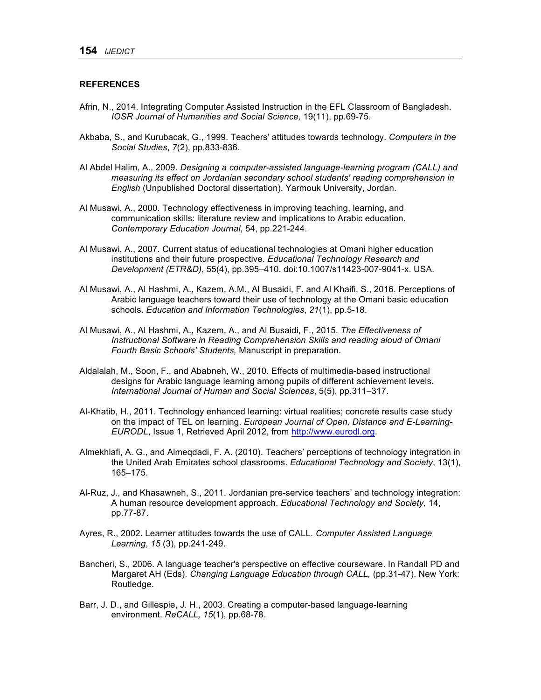## **REFERENCES**

- Afrin, N., 2014. Integrating Computer Assisted Instruction in the EFL Classroom of Bangladesh. *IOSR Journal of Humanities and Social Science,* 19(11), pp.69-75.
- Akbaba, S., and Kurubacak, G., 1999. Teachers' attitudes towards technology. *Computers in the Social Studies*, *7*(2), pp.833-836.
- Al Abdel Halim, A., 2009. *Designing a computer-assisted language-learning program (CALL) and measuring its effect on Jordanian secondary school students' reading comprehension in English* (Unpublished Doctoral dissertation). Yarmouk University, Jordan.
- Al Musawi, A., 2000. Technology effectiveness in improving teaching, learning, and communication skills: literature review and implications to Arabic education. *Contemporary Education Journal*, 54, pp.221-244.
- Al Musawi, A., 2007. Current status of educational technologies at Omani higher education institutions and their future prospective. *Educational Technology Research and Development (ETR&D)*, 55(4), pp.395–410. doi:10.1007/s11423-007-9041-x. USA.
- Al Musawi, A., Al Hashmi, A., Kazem, A.M., Al Busaidi, F. and Al Khaifi, S., 2016. Perceptions of Arabic language teachers toward their use of technology at the Omani basic education schools. *Education and Information Technologies*, *21*(1), pp.5-18.
- Al Musawi, A., Al Hashmi, A., Kazem, A., and Al Busaidi, F., 2015. *The Effectiveness of Instructional Software in Reading Comprehension Skills and reading aloud of Omani Fourth Basic Schools' Students,* Manuscript in preparation.
- Aldalalah, M., Soon, F., and Ababneh, W., 2010. Effects of multimedia-based instructional designs for Arabic language learning among pupils of different achievement levels. *International Journal of Human and Social Sciences*, 5(5), pp.311–317.
- Al-Khatib, H., 2011. Technology enhanced learning: virtual realities; concrete results case study on the impact of TEL on learning. *European Journal of Open, Distance and E-Learning-EURODL*, Issue 1, Retrieved April 2012, from http://www.eurodl.org.
- Almekhlafi, A. G., and Almeqdadi, F. A. (2010). Teachers' perceptions of technology integration in the United Arab Emirates school classrooms. *Educational Technology and Society*, 13(1), 165–175.
- Al-Ruz, J., and Khasawneh, S., 2011. Jordanian pre-service teachers' and technology integration: A human resource development approach. *Educational Technology and Society,* 14, pp.77-87.
- Ayres, R., 2002. Learner attitudes towards the use of CALL. *Computer Assisted Language Learning*, *15* (3), pp.241-249.
- Bancheri, S., 2006. A language teacher's perspective on effective courseware. In Randall PD and Margaret AH (Eds). *Changing Language Education through CALL,* (pp.31-47). New York: Routledge.
- Barr, J. D., and Gillespie, J. H., 2003. Creating a computer-based language-learning environment. *ReCALL, 15*(1), pp.68-78.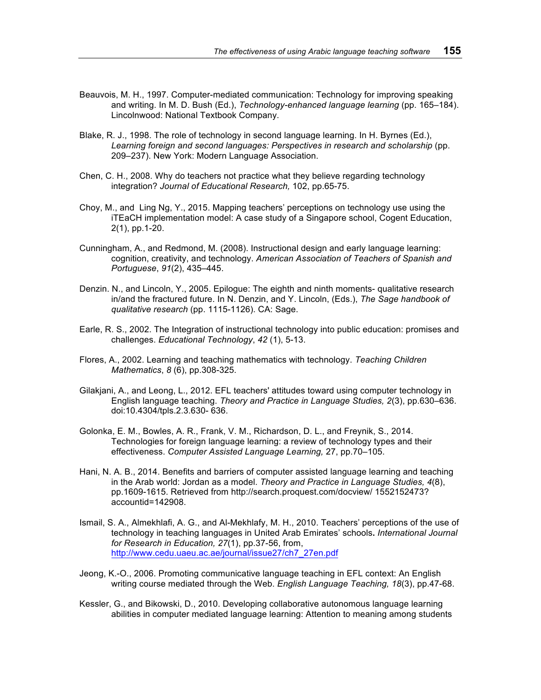- Beauvois, M. H., 1997. Computer-mediated communication: Technology for improving speaking and writing. In M. D. Bush (Ed.), *Technology-enhanced language learning* (pp. 165–184). Lincolnwood: National Textbook Company.
- Blake, R. J., 1998. The role of technology in second language learning. In H. Byrnes (Ed.), *Learning foreign and second languages: Perspectives in research and scholarship* (pp. 209–237). New York: Modern Language Association.
- Chen, C. H., 2008. Why do teachers not practice what they believe regarding technology integration? *Journal of Educational Research,* 102, pp.65-75.
- Choy, M., and Ling Ng, Y., 2015. Mapping teachers' perceptions on technology use using the iTEaCH implementation model: A case study of a Singapore school, Cogent Education, 2(1), pp.1-20.
- Cunningham, A., and Redmond, M. (2008). Instructional design and early language learning: cognition, creativity, and technology. *American Association of Teachers of Spanish and Portuguese*, *91*(2), 435–445.
- Denzin. N., and Lincoln, Y., 2005. Epilogue: The eighth and ninth moments- qualitative research in/and the fractured future. In N. Denzin, and Y. Lincoln, (Eds.), *The Sage handbook of qualitative research* (pp. 1115-1126). CA: Sage.
- Earle, R. S., 2002. The Integration of instructional technology into public education: promises and challenges. *Educational Technology*, *42* (1), 5-13.
- Flores, A., 2002. Learning and teaching mathematics with technology. *Teaching Children Mathematics*, *8* (6), pp.308-325.
- Gilakjani, A., and Leong, L., 2012. EFL teachers' attitudes toward using computer technology in English language teaching. *Theory and Practice in Language Studies, 2*(3), pp.630–636. doi:10.4304/tpls.2.3.630- 636.
- Golonka, E. M., Bowles, A. R., Frank, V. M., Richardson, D. L., and Freynik, S., 2014. Technologies for foreign language learning: a review of technology types and their effectiveness. *Computer Assisted Language Learning,* 27, pp.70–105.
- Hani, N. A. B., 2014. Benefits and barriers of computer assisted language learning and teaching in the Arab world: Jordan as a model. *Theory and Practice in Language Studies, 4*(8), pp.1609-1615. Retrieved from http://search.proquest.com/docview/ 1552152473? accountid=142908.
- Ismail, S. A., Almekhlafi, A. G., and Al-Mekhlafy, M. H., 2010. Teachers' perceptions of the use of technology in teaching languages in United Arab Emirates' schools**.** *International Journal for Research in Education, 27*(1), pp.37-56, from, http://www.cedu.uaeu.ac.ae/journal/issue27/ch7\_27en.pdf
- Jeong, K.-O., 2006. Promoting communicative language teaching in EFL context: An English writing course mediated through the Web. *English Language Teaching, 18*(3), pp.47-68.
- Kessler, G., and Bikowski, D., 2010. Developing collaborative autonomous language learning abilities in computer mediated language learning: Attention to meaning among students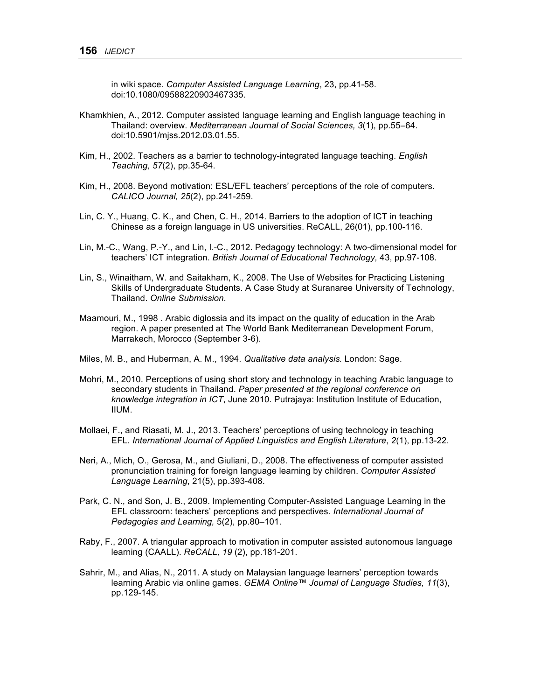in wiki space. *Computer Assisted Language Learning*, 23, pp.41-58. doi:10.1080/09588220903467335.

- Khamkhien, A., 2012. Computer assisted language learning and English language teaching in Thailand: overview. *Mediterranean Journal of Social Sciences, 3*(1), pp.55–64. doi:10.5901/mjss.2012.03.01.55.
- Kim, H., 2002. Teachers as a barrier to technology-integrated language teaching. *English Teaching, 57*(2), pp.35-64.
- Kim, H., 2008. Beyond motivation: ESL/EFL teachers' perceptions of the role of computers. *CALICO Journal, 25*(2), pp.241-259.
- Lin, C. Y., Huang, C. K., and Chen, C. H., 2014. Barriers to the adoption of ICT in teaching Chinese as a foreign language in US universities. ReCALL, 26(01), pp.100-116.
- Lin, M.-C., Wang, P.-Y., and Lin, I.-C., 2012. Pedagogy technology: A two-dimensional model for teachers' ICT integration. *British Journal of Educational Technology,* 43, pp.97-108.
- Lin, S., Winaitham, W. and Saitakham, K., 2008. The Use of Websites for Practicing Listening Skills of Undergraduate Students. A Case Study at Suranaree University of Technology, Thailand. *Online Submission*.
- Maamouri, M., 1998 . Arabic diglossia and its impact on the quality of education in the Arab region. A paper presented at The World Bank Mediterranean Development Forum, Marrakech, Morocco (September 3-6).
- Miles, M. B., and Huberman, A. M., 1994. *Qualitative data analysis.* London: Sage.
- Mohri, M., 2010. Perceptions of using short story and technology in teaching Arabic language to secondary students in Thailand. *Paper presented at the regional conference on knowledge integration in ICT*, June 2010. Putrajaya: Institution Institute of Education, IIUM.
- Mollaei, F., and Riasati, M. J., 2013. Teachers' perceptions of using technology in teaching EFL. *International Journal of Applied Linguistics and English Literature*, *2*(1), pp.13-22.
- Neri, A., Mich, O., Gerosa, M., and Giuliani, D., 2008. The effectiveness of computer assisted pronunciation training for foreign language learning by children. *Computer Assisted Language Learning*, 21(5), pp.393-408.
- Park, C. N., and Son, J. B., 2009. Implementing Computer-Assisted Language Learning in the EFL classroom: teachers' perceptions and perspectives. *International Journal of Pedagogies and Learning,* 5(2), pp.80–101.
- Raby, F., 2007. A triangular approach to motivation in computer assisted autonomous language learning (CAALL). *ReCALL, 19* (2), pp.181-201.
- Sahrir, M., and Alias, N., 2011. A study on Malaysian language learners' perception towards learning Arabic via online games. *GEMA Online™ Journal of Language Studies, 11*(3), pp.129-145.